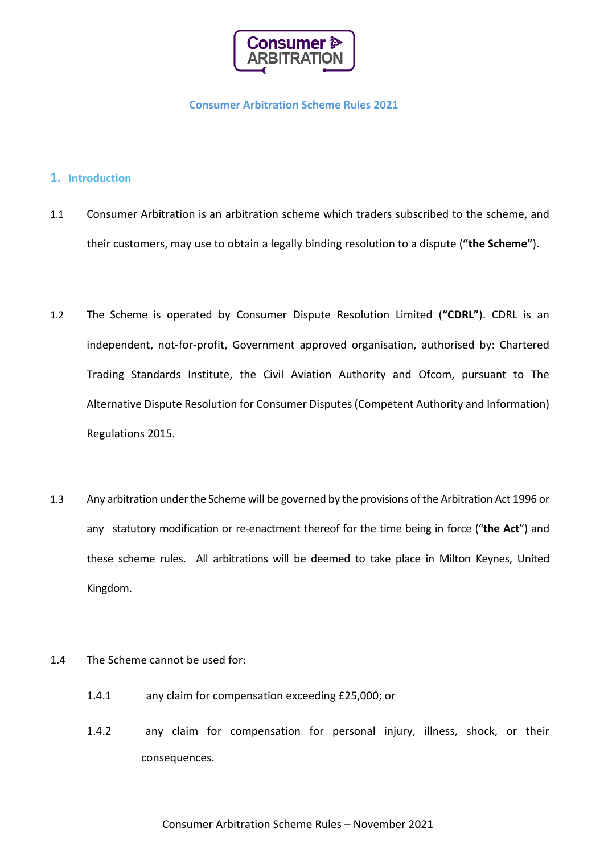

## **Consumer Arbitration Scheme Rules 2021**

# **1. Introduction**

- 1.1 Consumer Arbitration is an arbitration scheme which traders subscribed to the scheme, and their customers, may use to obtain a legally binding resolution to a dispute (**"the Scheme"**).
- 1.2 The Scheme is operated by Consumer Dispute Resolution Limited (**"CDRL"**). CDRL is an independent, not-for-profit, Government approved organisation, authorised by: Chartered Trading Standards Institute, the Civil Aviation Authority and Ofcom, pursuant to The Alternative Dispute Resolution for Consumer Disputes (Competent Authority and Information) Regulations 2015.
- 1.3 Any arbitration under the Scheme will be governed by the provisions of the Arbitration Act 1996 or any statutory modification or re-enactment thereof for the time being in force ("**the Act**") and these scheme rules. All arbitrations will be deemed to take place in Milton Keynes, United Kingdom.
- 1.4 The Scheme cannot be used for:
	- 1.4.1 any claim for compensation exceeding £25,000; or
	- 1.4.2 any claim for compensation for personal injury, illness, shock, or their consequences.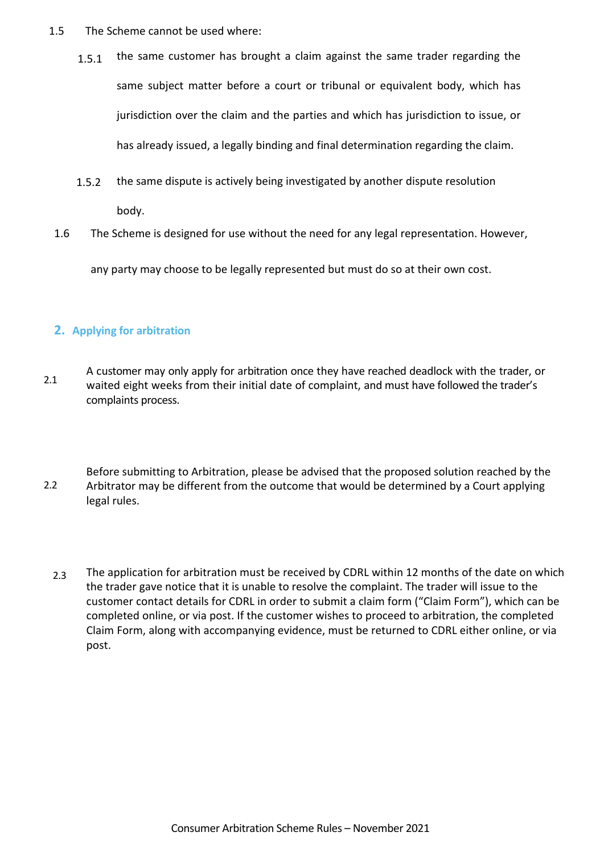- 1.5 The Scheme cannot be used where:
	- 1.5.1 the same customer has brought a claim against the same trader regarding the same subject matter before a court or tribunal or equivalent body, which has jurisdiction over the claim and the parties and which has jurisdiction to issue, or has already issued, a legally binding and final determination regarding the claim.
	- 1.5.2 the same dispute is actively being investigated by another dispute resolution body.
	- 1.6 The Scheme is designed for use without the need for any legal representation. However,

any party may choose to be legally represented but must do so at their own cost.

# **2. Applying for arbitration**

- 2.1 A customer may only apply for arbitration once they have reached deadlock with the trader, or waited eight weeks from their initial date of complaint, and must have followed the trader's complaints process.
- 2.2 Before submitting to Arbitration, please be advised that the proposed solution reached by the Arbitrator may be different from the outcome that would be determined by a Court applying legal rules.
	- 2.3 The application for arbitration must be received by CDRL within 12 months of the date on which the trader gave notice that it is unable to resolve the complaint. The trader will issue to the customer contact details for CDRL in order to submit a claim form ("Claim Form"), which can be completed online, or via post. If the customer wishes to proceed to arbitration, the completed Claim Form, along with accompanying evidence, must be returned to CDRL either online, or via post.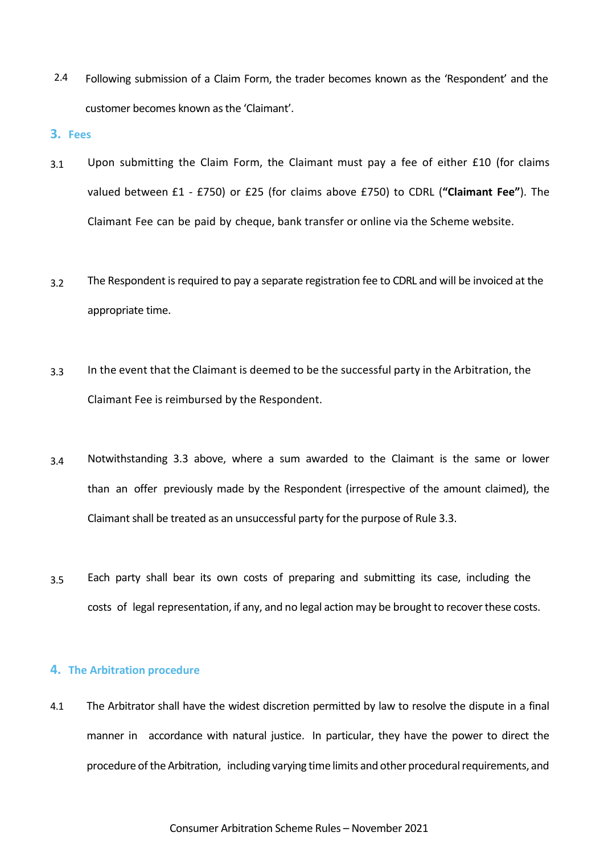2.4 Following submission of a Claim Form, the trader becomes known as the 'Respondent' and the customer becomes known as the 'Claimant'.

#### **3. Fees**

- 3.1 Upon submitting the Claim Form, the Claimant must pay a fee of either £10 (for claims valued between £1 - £750) or £25 (for claims above £750) to CDRL (**"Claimant Fee"**). The Claimant Fee can be paid by cheque, bank transfer or online via the Scheme website.
- 3.2 The Respondent is required to pay a separate registration fee to CDRL and will be invoiced at the appropriate time.
- 3.3 In the event that the Claimant is deemed to be the successful party in the Arbitration, the Claimant Fee is reimbursed by the Respondent.
- 3.4 Notwithstanding 3.3 above, where a sum awarded to the Claimant is the same or lower than an offer previously made by the Respondent (irrespective of the amount claimed), the Claimant shall be treated as an unsuccessful party for the purpose of Rule 3.3.
- 3.5 Each party shall bear its own costs of preparing and submitting its case, including the costs of legal representation, if any, and no legal action may be brought to recoverthese costs.

### **4. The Arbitration procedure**

4.1 The Arbitrator shall have the widest discretion permitted by law to resolve the dispute in a final manner in accordance with natural justice. In particular, they have the power to direct the procedure of the Arbitration, including varying time limits and other procedural requirements, and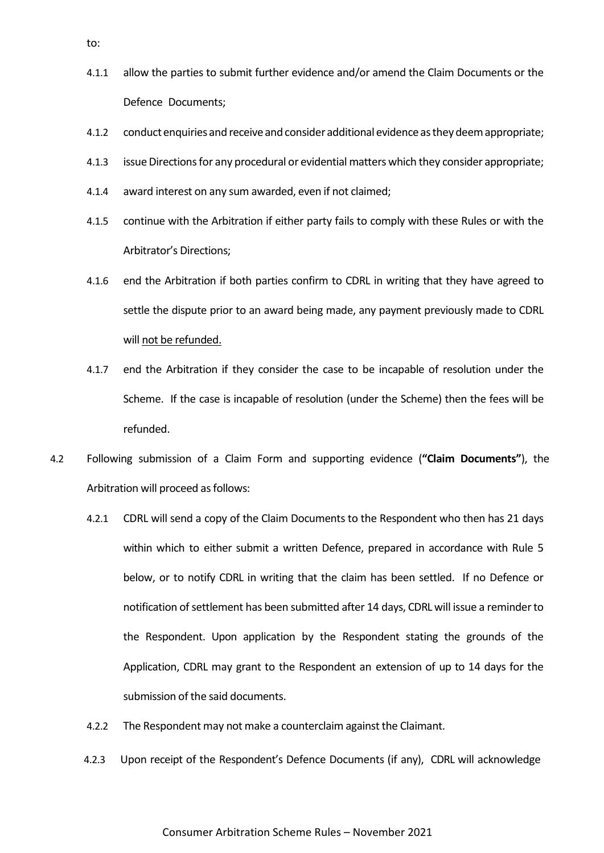- 4.1.1 allow the parties to submit further evidence and/or amend the Claim Documents or the Defence Documents;
- 4.1.2 conduct enquiries and receive and consider additional evidence as they deem appropriate;
- 4.1.3 issue Directions for any procedural or evidential matters which they consider appropriate;
- 4.1.4 award interest on any sum awarded, even if not claimed;
- 4.1.5 continue with the Arbitration if either party fails to comply with these Rules or with the Arbitrator's Directions;
- 4.1.6 end the Arbitration if both parties confirm to CDRL in writing that they have agreed to settle the dispute prior to an award being made, any payment previously made to CDRL will not be refunded.
- 4.1.7 end the Arbitration if they consider the case to be incapable of resolution under the Scheme. If the case is incapable of resolution (under the Scheme) then the fees will be refunded.
- 4.2 Following submission of a Claim Form and supporting evidence (**"Claim Documents"**), the Arbitration will proceed as follows:
	- 4.2.1 CDRL will send a copy of the Claim Documents to the Respondent who then has 21 days within which to either submit a written Defence, prepared in accordance with Rule 5 below, or to notify CDRL in writing that the claim has been settled. If no Defence or notification ofsettlement has been submitted after 14 days, CDRL will issue a reminderto the Respondent. Upon application by the Respondent stating the grounds of the Application, CDRL may grant to the Respondent an extension of up to 14 days for the submission of the said documents.
	- 4.2.2 The Respondent may not make a counterclaim against the Claimant.
	- 4.2.3 Upon receipt of the Respondent's Defence Documents (if any), CDRL will acknowledge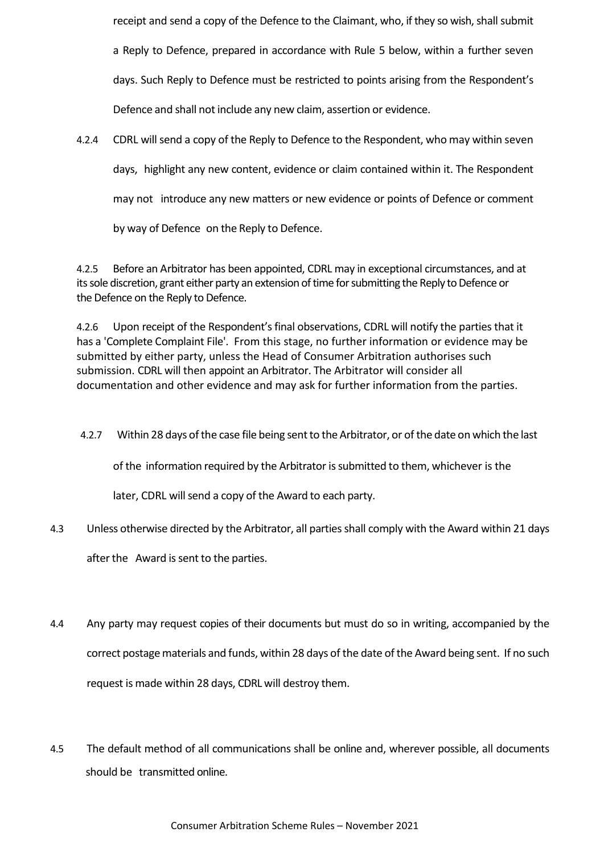receipt and send a copy of the Defence to the Claimant, who, if they so wish, shall submit a Reply to Defence, prepared in accordance with Rule 5 below, within a further seven days. Such Reply to Defence must be restricted to points arising from the Respondent's Defence and shall not include any new claim, assertion or evidence.

4.2.4 CDRL will send a copy of the Reply to Defence to the Respondent, who may within seven days, highlight any new content, evidence or claim contained within it. The Respondent may not introduce any new matters or new evidence or points of Defence or comment by way of Defence on the Reply to Defence.

4.2.5 Before an Arbitrator has been appointed, CDRL may in exceptional circumstances, and at its sole discretion, grant either party an extension of time for submitting the Reply to Defence or the Defence on the Reply to Defence.

4.2.6 Upon receipt of the Respondent's final observations, CDRL will notify the parties that it has a 'Complete Complaint File'. From this stage, no further information or evidence may be submitted by either party, unless the Head of Consumer Arbitration authorises such submission. CDRL will then appoint an Arbitrator. The Arbitrator will consider all documentation and other evidence and may ask for further information from the parties.

4.2.7 Within 28 days of the case file being sent to the Arbitrator, or of the date on which the last

of the information required by the Arbitrator issubmitted to them, whichever is the

later, CDRL will send a copy of the Award to each party.

4.3 Unless otherwise directed by the Arbitrator, all partiesshall comply with the Award within 21 days

after the Award is sent to the parties.

- 4.4 Any party may request copies of their documents but must do so in writing, accompanied by the correct postage materials and funds, within 28 days of the date of the Award being sent. If no such request is made within 28 days, CDRL will destroy them.
- 4.5 The default method of all communications shall be online and, wherever possible, all documents should be transmitted online.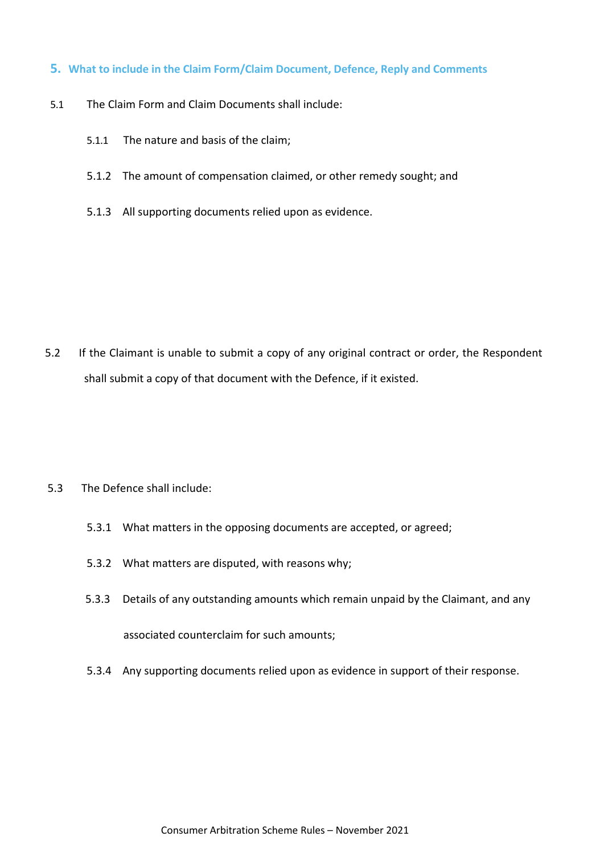# **5. What to include in the Claim Form/Claim Document, Defence, Reply and Comments**

- 5.1 The Claim Form and Claim Documents shall include:
	- 5.1.1 The nature and basis of the claim;
	- 5.1.2 The amount of compensation claimed, or other remedy sought; and
	- 5.1.3 All supporting documents relied upon as evidence.

5.2 If the Claimant is unable to submit a copy of any original contract or order, the Respondent shall submit a copy of that document with the Defence, if it existed.

- 5.3 The Defence shall include:
	- 5.3.1 What matters in the opposing documents are accepted, or agreed;
	- 5.3.2 What matters are disputed, with reasons why;
	- 5.3.3 Details of any outstanding amounts which remain unpaid by the Claimant, and any associated counterclaim for such amounts;
	- 5.3.4 Any supporting documents relied upon as evidence in support of their response.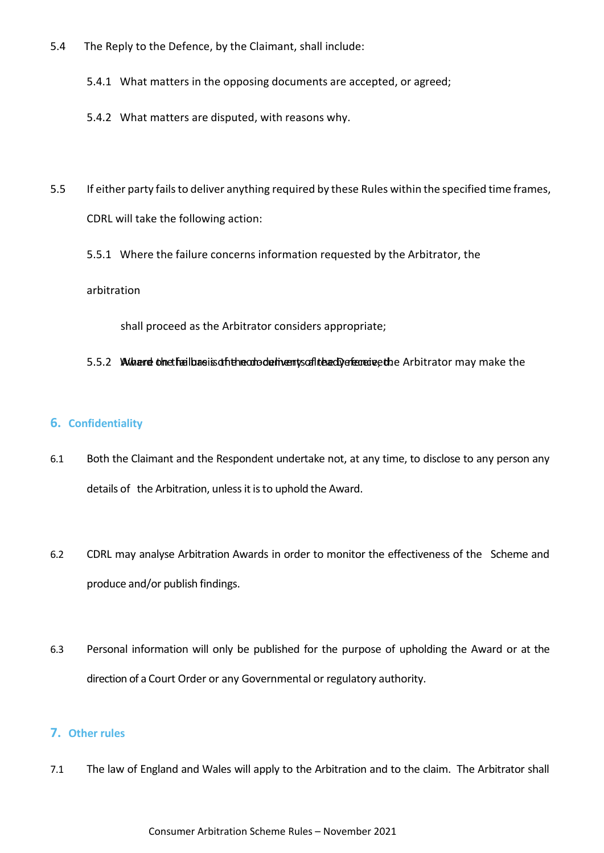- 5.4 The Reply to the Defence, by the Claimant, shall include:
	- 5.4.1 What matters in the opposing documents are accepted, or agreed;
	- 5.4.2 What matters are disputed, with reasons why.
- 5.5 If either party fails to deliver anything required by these Rules within the specified time frames, CDRL will take the following action:
	- 5.5.1 Where the failure concerns information requested by the Arbitrator, the

### arbitration

shall proceed as the Arbitrator considers appropriate;

## 5.5.2 Whitered of the the is distributed behavior of the documents of the defence of the heads. And the include the

# **6. Confidentiality**

- 6.1 Both the Claimant and the Respondent undertake not, at any time, to disclose to any person any details of the Arbitration, unless it is to uphold the Award.
- 6.2 CDRL may analyse Arbitration Awards in order to monitor the effectiveness of the Scheme and produce and/or publish findings.
- 6.3 Personal information will only be published for the purpose of upholding the Award or at the direction of a Court Order or any Governmental or regulatory authority.

# **7. Other rules**

7.1 The law of England and Wales will apply to the Arbitration and to the claim. The Arbitrator shall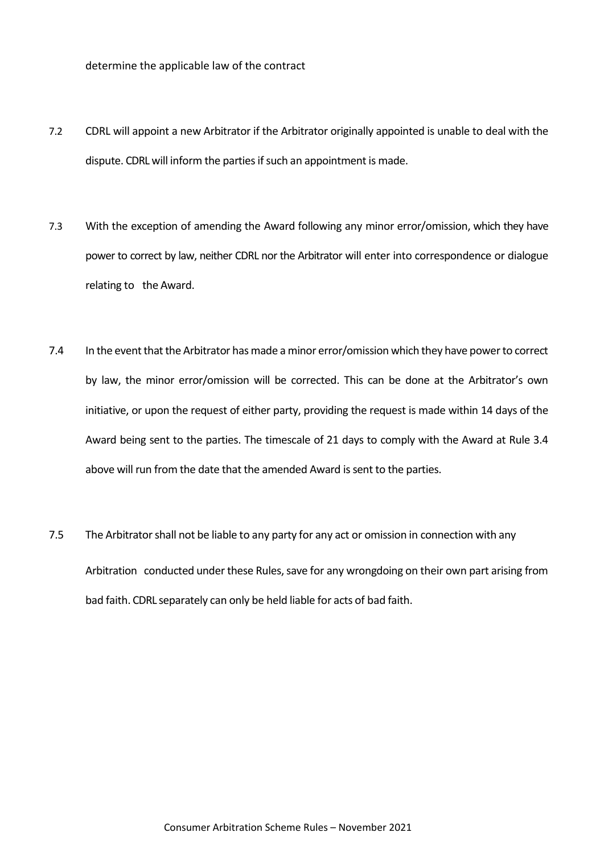determine the applicable law of the contract

- 7.2 CDRL will appoint a new Arbitrator if the Arbitrator originally appointed is unable to deal with the dispute. CDRL will inform the parties if such an appointment is made.
- 7.3 With the exception of amending the Award following any minor error/omission, which they have power to correct by law, neither CDRL nor the Arbitrator will enter into correspondence or dialogue relating to the Award.
- 7.4 In the event that the Arbitrator has made a minor error/omission which they have power to correct by law, the minor error/omission will be corrected. This can be done at the Arbitrator's own initiative, or upon the request of either party, providing the request is made within 14 days of the Award being sent to the parties. The timescale of 21 days to comply with the Award at Rule 3.4 above will run from the date that the amended Award is sent to the parties.
- 7.5 The Arbitrator shall not be liable to any party for any act or omission in connection with any Arbitration conducted under these Rules, save for any wrongdoing on their own part arising from bad faith. CDRL separately can only be held liable for acts of bad faith.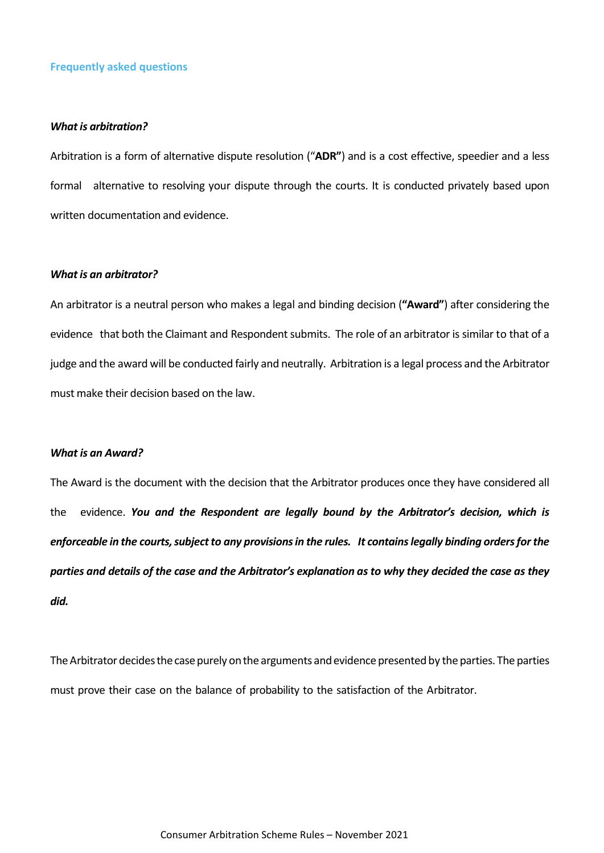### **Frequently asked questions**

#### *What is arbitration?*

Arbitration is a form of alternative dispute resolution ("**ADR"**) and is a cost effective, speedier and a less formal alternative to resolving your dispute through the courts. It is conducted privately based upon written documentation and evidence.

## *Whatis an arbitrator?*

An arbitrator is a neutral person who makes a legal and binding decision (**"Award"**) after considering the evidence that both the Claimant and Respondent submits. The role of an arbitrator is similar to that of a judge and the award will be conducted fairly and neutrally. Arbitration is a legal process and the Arbitrator must make their decision based on the law.

#### *What is an Award?*

The Award is the document with the decision that the Arbitrator produces once they have considered all the evidence. *You and the Respondent are legally bound by the Arbitrator's decision, which is enforceable in the courts, subject to any provisions in the rules. It contains legally binding orders for the parties and details of the case and the Arbitrator's explanation as to why they decided the case as they did.*

The Arbitrator decides the case purely on the arguments and evidence presented by the parties. The parties must prove their case on the balance of probability to the satisfaction of the Arbitrator.